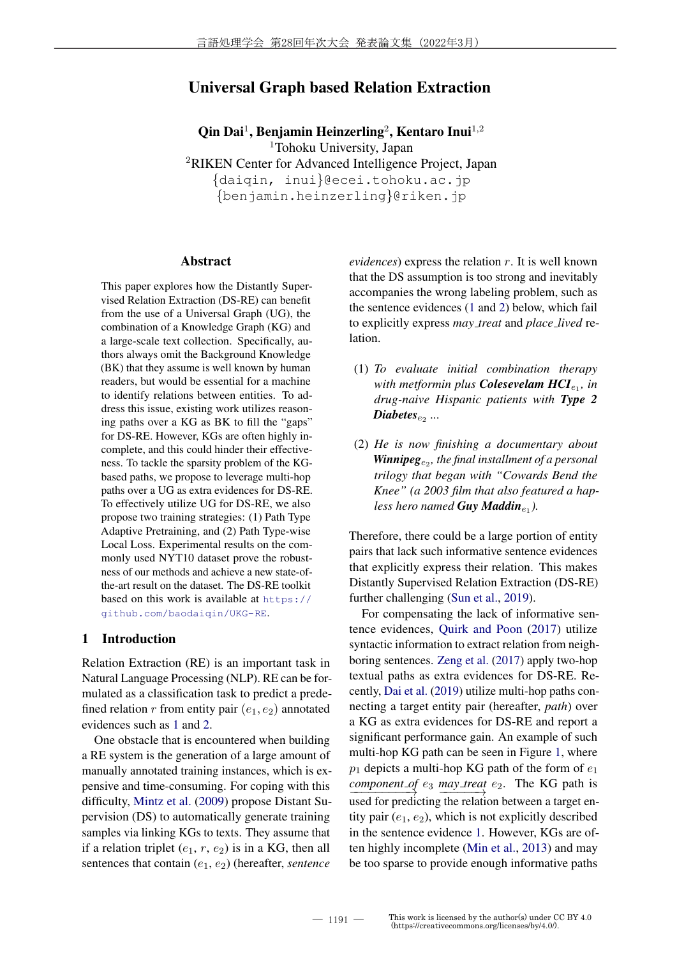# Universal Graph based Relation Extraction

Qin Dai<sup>1</sup>, Benjamin Heinzerling<sup>2</sup>, Kentaro Inui<sup>1,2</sup> <sup>1</sup>Tohoku University, Japan <sup>2</sup>RIKEN Center for Advanced Intelligence Project, Japan {daiqin, inui}@ecei.tohoku.ac.jp {benjamin.heinzerling}@riken.jp

#### Abstract

This paper explores how the Distantly Supervised Relation Extraction (DS-RE) can benefit from the use of a Universal Graph (UG), the combination of a Knowledge Graph (KG) and a large-scale text collection. Specifically, authors always omit the Background Knowledge (BK) that they assume is well known by human readers, but would be essential for a machine to identify relations between entities. To address this issue, existing work utilizes reasoning paths over a KG as BK to fill the "gaps" for DS-RE. However, KGs are often highly incomplete, and this could hinder their effectiveness. To tackle the sparsity problem of the KGbased paths, we propose to leverage multi-hop paths over a UG as extra evidences for DS-RE. To effectively utilize UG for DS-RE, we also propose two training strategies: (1) Path Type Adaptive Pretraining, and (2) Path Type-wise Local Loss. Experimental results on the commonly used NYT10 dataset prove the robustness of our methods and achieve a new state-ofthe-art result on the dataset. The DS-RE toolkit based on this work is available at https:// github.com/baodaiqin/UKG-RE.

## 1 Introduction

Relation Extraction (RE) is an important task in Natural Language Processing (NLP). RE can be formulated as a classification task to predict a predefined relation r from entity pair  $(e_1, e_2)$  annotated evidences such as 1 and 2.

One obstacle that is encountered when building a RE system is the generation of a large amount of manually annotated training instances, which is expensive and time-consuming. For coping with this difficulty, Mintz et al. (2009) propose Distant Supervision (DS) to automatically generate training samples via linking KGs to texts. They assume that if a relation triplet  $(e_1, r, e_2)$  is in a KG, then all sentences that contain  $(e_1, e_2)$  (hereafter, *sentence*  *evidences*) express the relation r. It is well known that the DS assumption is too strong and inevitably accompanies the wrong labeling problem, such as the sentence evidences (1 and 2) below, which fail to explicitly express *may treat* and *place lived* relation.

- (1) *To evaluate initial combination therapy* with metformin plus **Colesevelam HCI**<sub>e1</sub>, in *drug-naive Hispanic patients with Type 2*  $\bm{D}$ *iabetes*<sub>e2</sub> ...
- (2) *He is now finishing a documentary about* **Winnipeg**<sub>e2</sub>, the final installment of a personal *trilogy that began with "Cowards Bend the Knee" (a 2003 film that also featured a hapless hero named Guy Maddin*<sub>e1</sub>).

Therefore, there could be a large portion of entity pairs that lack such informative sentence evidences that explicitly express their relation. This makes Distantly Supervised Relation Extraction (DS-RE) further challenging (Sun et al., 2019).

For compensating the lack of informative sentence evidences, Quirk and Poon (2017) utilize syntactic information to extract relation from neighboring sentences. Zeng et al. (2017) apply two-hop textual paths as extra evidences for DS-RE. Recently, Dai et al. (2019) utilize multi-hop paths connecting a target entity pair (hereafter, *path*) over a KG as extra evidences for DS-RE and report a significant performance gain. An example of such multi-hop KG path can be seen in Figure 1, where  $p_1$  depicts a multi-hop KG path of the form of  $e_1$ *component of*  $e_3$  *may treat*  $e_2$ . The KG path is used for predicting the relation between a target entity pair  $(e_1, e_2)$ , which is not explicitly described in the sentence evidence 1. However, KGs are often highly incomplete (Min et al., 2013) and may be too sparse to provide enough informative paths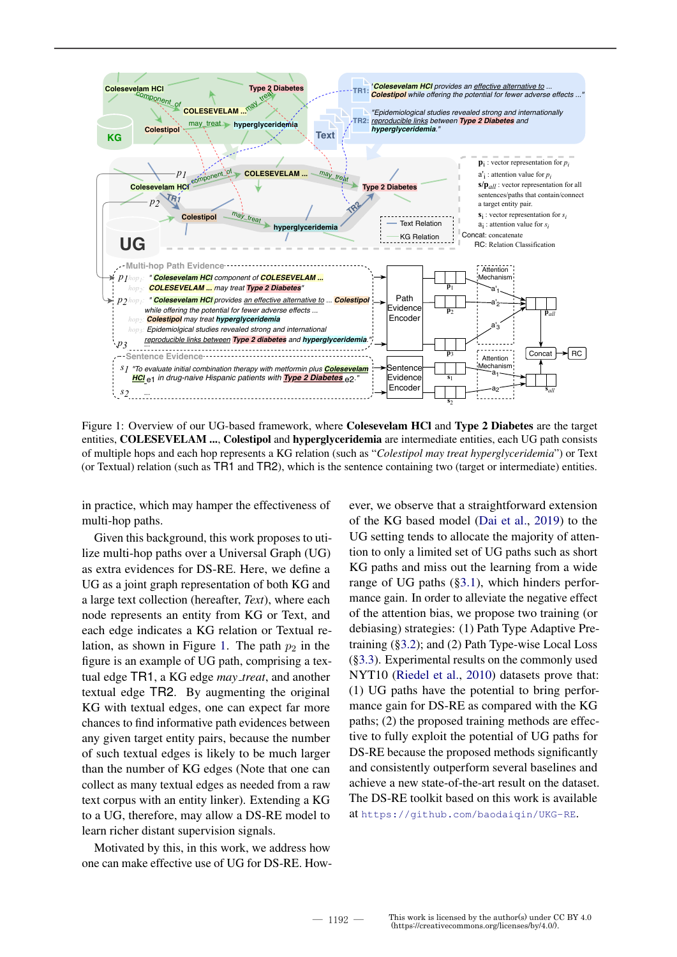

Figure 1: Overview of our UG-based framework, where Colesevelam HCl and Type 2 Diabetes are the target entities, COLESEVELAM ..., Colestipol and hyperglyceridemia are intermediate entities, each UG path consists of multiple hops and each hop represents a KG relation (such as "*Colestipol may treat hyperglyceridemia*") or Text (or Textual) relation (such as TR1 and TR2), which is the sentence containing two (target or intermediate) entities.

in practice, which may hamper the effectiveness of multi-hop paths.

Given this background, this work proposes to utilize multi-hop paths over a Universal Graph (UG) as extra evidences for DS-RE. Here, we define a UG as a joint graph representation of both KG and a large text collection (hereafter, *Text*), where each node represents an entity from KG or Text, and each edge indicates a KG relation or Textual relation, as shown in Figure 1. The path  $p_2$  in the figure is an example of UG path, comprising a textual edge TR1, a KG edge *may treat*, and another textual edge TR2. By augmenting the original KG with textual edges, one can expect far more chances to find informative path evidences between any given target entity pairs, because the number of such textual edges is likely to be much larger than the number of KG edges (Note that one can collect as many textual edges as needed from a raw text corpus with an entity linker). Extending a KG to a UG, therefore, may allow a DS-RE model to learn richer distant supervision signals.

Motivated by this, in this work, we address how one can make effective use of UG for DS-RE. However, we observe that a straightforward extension of the KG based model (Dai et al., 2019) to the UG setting tends to allocate the majority of attention to only a limited set of UG paths such as short KG paths and miss out the learning from a wide range of UG paths (§3.1), which hinders performance gain. In order to alleviate the negative effect of the attention bias, we propose two training (or debiasing) strategies: (1) Path Type Adaptive Pretraining (§3.2); and (2) Path Type-wise Local Loss (§3.3). Experimental results on the commonly used NYT10 (Riedel et al., 2010) datasets prove that: (1) UG paths have the potential to bring performance gain for DS-RE as compared with the KG paths; (2) the proposed training methods are effective to fully exploit the potential of UG paths for DS-RE because the proposed methods significantly and consistently outperform several baselines and achieve a new state-of-the-art result on the dataset. The DS-RE toolkit based on this work is available at https://github.com/baodaiqin/UKG-RE.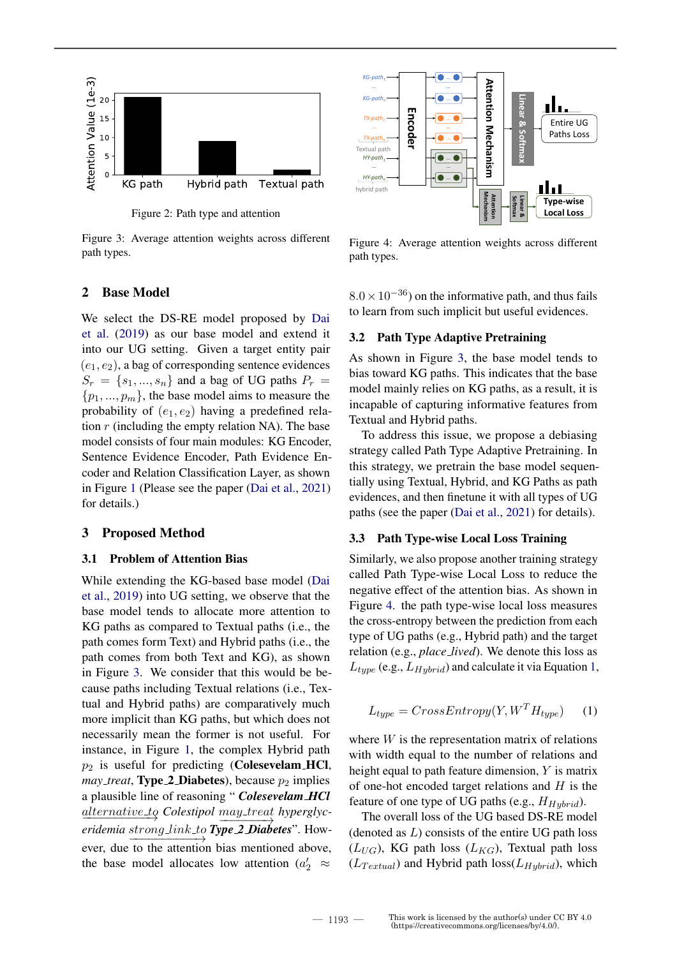

Figure 2: Path type and attention

Figure 3: Average attention weights across different path types.

## 2 Base Model

We select the DS-RE model proposed by Dai et al. (2019) as our base model and extend it into our UG setting. Given a target entity pair  $(e_1, e_2)$ , a bag of corresponding sentence evidences  $S_r = \{s_1, ..., s_n\}$  and a bag of UG paths  $P_r =$  $\{p_1, ..., p_m\}$ , the base model aims to measure the probability of  $(e_1, e_2)$  having a predefined relation  $r$  (including the empty relation NA). The base model consists of four main modules: KG Encoder, Sentence Evidence Encoder, Path Evidence Encoder and Relation Classification Layer, as shown in Figure 1 (Please see the paper (Dai et al., 2021) for details.)

## 3 Proposed Method

### 3.1 Problem of Attention Bias

While extending the KG-based base model (Dai et al., 2019) into UG setting, we observe that the base model tends to allocate more attention to KG paths as compared to Textual paths (i.e., the path comes form Text) and Hybrid paths (i.e., the path comes from both Text and KG), as shown in Figure 3. We consider that this would be because paths including Textual relations (i.e., Textual and Hybrid paths) are comparatively much more implicit than KG paths, but which does not necessarily mean the former is not useful. For instance, in Figure 1, the complex Hybrid path  $p_2$  is useful for predicting (Colesevelam HCl, *may treat*, **Type 2 Diabetes**), because  $p_2$  implies a plausible line of reasoning " *Colesevelam HCl*  $\underline{alternative\_to}$  Colestipol  $\underline{may\_treeat}$  hyperglyc- $\longrightarrow$ *eridemia strong\_link\_to Type 2 Diabetes*". However, due to the attention bias mentioned above, the base model allocates low attention ( $a'_2 \approx$ 



Figure 4: Average attention weights across different path types.

 $8.0 \times 10^{-36}$ ) on the informative path, and thus fails to learn from such implicit but useful evidences.

#### 3.2 Path Type Adaptive Pretraining

As shown in Figure 3, the base model tends to bias toward KG paths. This indicates that the base model mainly relies on KG paths, as a result, it is incapable of capturing informative features from Textual and Hybrid paths.

To address this issue, we propose a debiasing strategy called Path Type Adaptive Pretraining. In this strategy, we pretrain the base model sequentially using Textual, Hybrid, and KG Paths as path evidences, and then finetune it with all types of UG paths (see the paper (Dai et al., 2021) for details).

#### 3.3 Path Type-wise Local Loss Training

Similarly, we also propose another training strategy called Path Type-wise Local Loss to reduce the negative effect of the attention bias. As shown in Figure 4. the path type-wise local loss measures the cross-entropy between the prediction from each type of UG paths (e.g., Hybrid path) and the target relation (e.g., *place lived*). We denote this loss as  $L_{type}$  (e.g.,  $L_{Hybrid}$ ) and calculate it via Equation 1,

$$
L_{type} = CrossEntropy(Y, W^T H_{type}) \qquad (1)
$$

where  $W$  is the representation matrix of relations with width equal to the number of relations and height equal to path feature dimension, Y is matrix of one-hot encoded target relations and  $H$  is the feature of one type of UG paths (e.g.,  $H_{Hubrid}$ ).

The overall loss of the UG based DS-RE model (denoted as  $L$ ) consists of the entire UG path loss  $(L_{UG})$ , KG path loss  $(L_{KG})$ , Textual path loss  $(L_{Textual})$  and Hybrid path loss $(L_{Hybrid})$ , which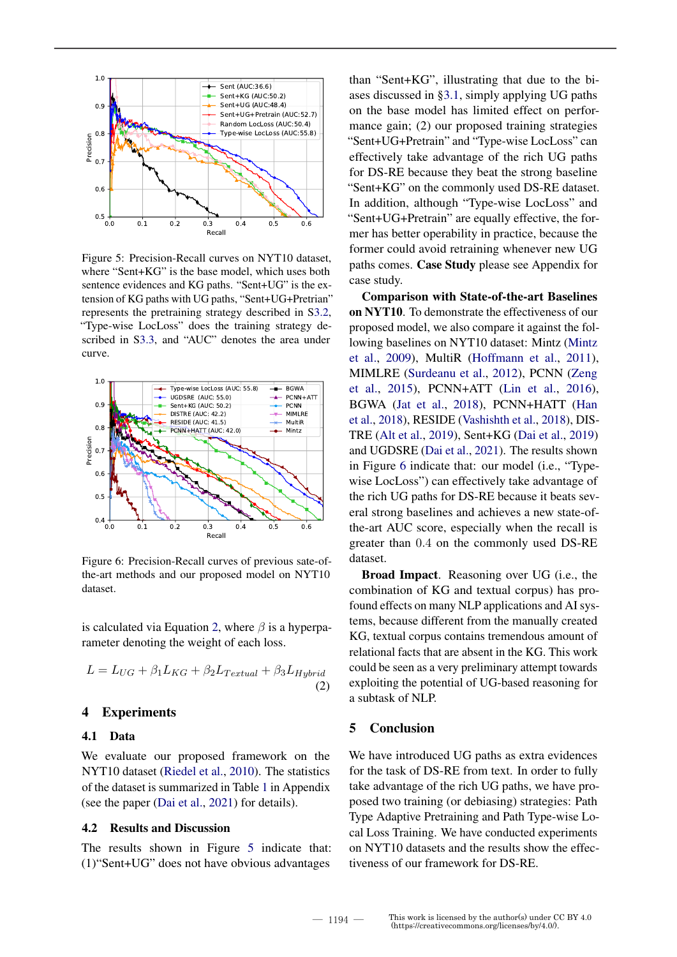

Figure 5: Precision-Recall curves on NYT10 dataset, where "Sent+KG" is the base model, which uses both sentence evidences and KG paths. "Sent+UG" is the extension of KG paths with UG paths, "Sent+UG+Pretrian" represents the pretraining strategy described in S3.2, "Type-wise LocLoss" does the training strategy described in S3.3, and "AUC" denotes the area under curve.



Figure 6: Precision-Recall curves of previous sate-ofthe-art methods and our proposed model on NYT10 dataset.

is calculated via Equation 2, where  $\beta$  is a hyperparameter denoting the weight of each loss.

$$
L = L_{UG} + \beta_1 L_{KG} + \beta_2 L_{Textual} + \beta_3 L_{Hybrid}
$$
\n(2)

### 4 Experiments

#### 4.1 Data

We evaluate our proposed framework on the NYT10 dataset (Riedel et al., 2010). The statistics of the dataset is summarized in Table 1 in Appendix (see the paper (Dai et al., 2021) for details).

## 4.2 Results and Discussion

The results shown in Figure 5 indicate that: (1)"Sent+UG" does not have obvious advantages

than "Sent+KG", illustrating that due to the biases discussed in §3.1, simply applying UG paths on the base model has limited effect on performance gain; (2) our proposed training strategies "Sent+UG+Pretrain" and "Type-wise LocLoss" can effectively take advantage of the rich UG paths for DS-RE because they beat the strong baseline "Sent+KG" on the commonly used DS-RE dataset. In addition, although "Type-wise LocLoss" and "Sent+UG+Pretrain" are equally effective, the former has better operability in practice, because the former could avoid retraining whenever new UG paths comes. Case Study please see Appendix for case study.

Comparison with State-of-the-art Baselines on NYT10. To demonstrate the effectiveness of our proposed model, we also compare it against the following baselines on NYT10 dataset: Mintz (Mintz et al., 2009), MultiR (Hoffmann et al., 2011), MIMLRE (Surdeanu et al., 2012), PCNN (Zeng et al., 2015), PCNN+ATT (Lin et al., 2016), BGWA (Jat et al., 2018), PCNN+HATT (Han et al., 2018), RESIDE (Vashishth et al., 2018), DIS-TRE (Alt et al., 2019), Sent+KG (Dai et al., 2019) and UGDSRE (Dai et al., 2021). The results shown in Figure 6 indicate that: our model (i.e., "Typewise LocLoss") can effectively take advantage of the rich UG paths for DS-RE because it beats several strong baselines and achieves a new state-ofthe-art AUC score, especially when the recall is greater than 0.4 on the commonly used DS-RE dataset.

Broad Impact. Reasoning over UG (i.e., the combination of KG and textual corpus) has profound effects on many NLP applications and AI systems, because different from the manually created KG, textual corpus contains tremendous amount of relational facts that are absent in the KG. This work could be seen as a very preliminary attempt towards exploiting the potential of UG-based reasoning for a subtask of NLP.

### 5 Conclusion

We have introduced UG paths as extra evidences for the task of DS-RE from text. In order to fully take advantage of the rich UG paths, we have proposed two training (or debiasing) strategies: Path Type Adaptive Pretraining and Path Type-wise Local Loss Training. We have conducted experiments on NYT10 datasets and the results show the effectiveness of our framework for DS-RE.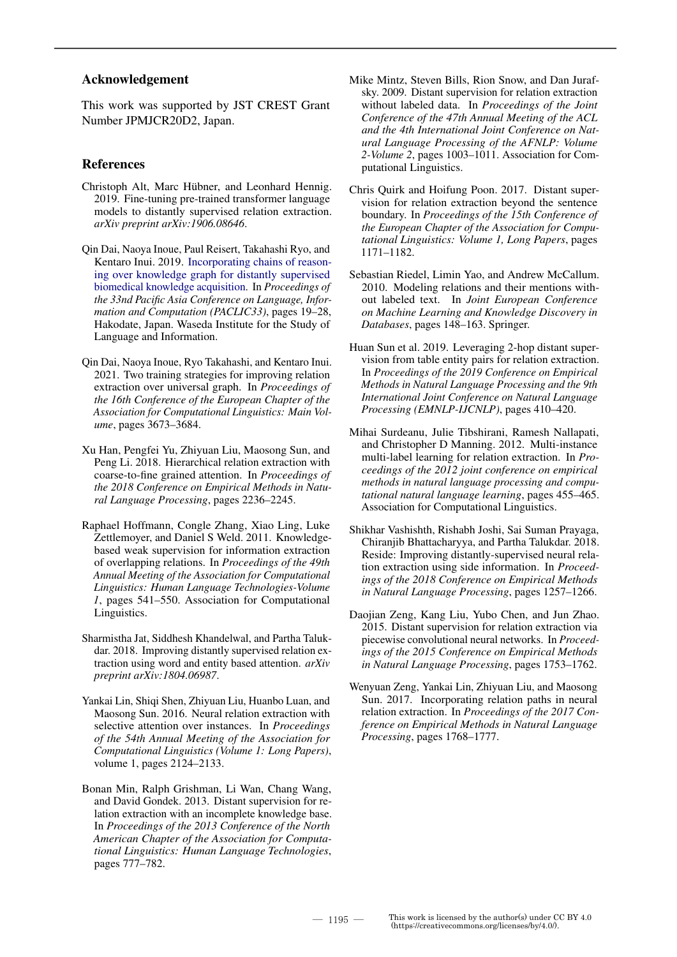### Acknowledgement

This work was supported by JST CREST Grant Number JPMJCR20D2, Japan.

## References

- Christoph Alt, Marc Hübner, and Leonhard Hennig. 2019. Fine-tuning pre-trained transformer language models to distantly supervised relation extraction. *arXiv preprint arXiv:1906.08646*.
- Qin Dai, Naoya Inoue, Paul Reisert, Takahashi Ryo, and Kentaro Inui. 2019. Incorporating chains of reasoning over knowledge graph for distantly supervised biomedical knowledge acquisition. In *Proceedings of the 33nd Pacific Asia Conference on Language, Information and Computation (PACLIC33)*, pages 19–28, Hakodate, Japan. Waseda Institute for the Study of Language and Information.
- Qin Dai, Naoya Inoue, Ryo Takahashi, and Kentaro Inui. 2021. Two training strategies for improving relation extraction over universal graph. In *Proceedings of the 16th Conference of the European Chapter of the Association for Computational Linguistics: Main Volume*, pages 3673–3684.
- Xu Han, Pengfei Yu, Zhiyuan Liu, Maosong Sun, and Peng Li. 2018. Hierarchical relation extraction with coarse-to-fine grained attention. In *Proceedings of the 2018 Conference on Empirical Methods in Natural Language Processing*, pages 2236–2245.
- Raphael Hoffmann, Congle Zhang, Xiao Ling, Luke Zettlemoyer, and Daniel S Weld. 2011. Knowledgebased weak supervision for information extraction of overlapping relations. In *Proceedings of the 49th Annual Meeting of the Association for Computational Linguistics: Human Language Technologies-Volume 1*, pages 541–550. Association for Computational Linguistics.
- Sharmistha Jat, Siddhesh Khandelwal, and Partha Talukdar. 2018. Improving distantly supervised relation extraction using word and entity based attention. *arXiv preprint arXiv:1804.06987*.
- Yankai Lin, Shiqi Shen, Zhiyuan Liu, Huanbo Luan, and Maosong Sun. 2016. Neural relation extraction with selective attention over instances. In *Proceedings of the 54th Annual Meeting of the Association for Computational Linguistics (Volume 1: Long Papers)*, volume 1, pages 2124–2133.
- Bonan Min, Ralph Grishman, Li Wan, Chang Wang, and David Gondek. 2013. Distant supervision for relation extraction with an incomplete knowledge base. In *Proceedings of the 2013 Conference of the North American Chapter of the Association for Computational Linguistics: Human Language Technologies*, pages 777–782.
- Mike Mintz, Steven Bills, Rion Snow, and Dan Jurafsky. 2009. Distant supervision for relation extraction without labeled data. In *Proceedings of the Joint Conference of the 47th Annual Meeting of the ACL and the 4th International Joint Conference on Natural Language Processing of the AFNLP: Volume 2-Volume 2*, pages 1003–1011. Association for Computational Linguistics.
- Chris Quirk and Hoifung Poon. 2017. Distant supervision for relation extraction beyond the sentence boundary. In *Proceedings of the 15th Conference of the European Chapter of the Association for Computational Linguistics: Volume 1, Long Papers*, pages 1171–1182.
- Sebastian Riedel, Limin Yao, and Andrew McCallum. 2010. Modeling relations and their mentions without labeled text. In *Joint European Conference on Machine Learning and Knowledge Discovery in Databases*, pages 148–163. Springer.
- Huan Sun et al. 2019. Leveraging 2-hop distant supervision from table entity pairs for relation extraction. In *Proceedings of the 2019 Conference on Empirical Methods in Natural Language Processing and the 9th International Joint Conference on Natural Language Processing (EMNLP-IJCNLP)*, pages 410–420.
- Mihai Surdeanu, Julie Tibshirani, Ramesh Nallapati, and Christopher D Manning. 2012. Multi-instance multi-label learning for relation extraction. In *Proceedings of the 2012 joint conference on empirical methods in natural language processing and computational natural language learning*, pages 455–465. Association for Computational Linguistics.
- Shikhar Vashishth, Rishabh Joshi, Sai Suman Prayaga, Chiranjib Bhattacharyya, and Partha Talukdar. 2018. Reside: Improving distantly-supervised neural relation extraction using side information. In *Proceedings of the 2018 Conference on Empirical Methods in Natural Language Processing*, pages 1257–1266.
- Daojian Zeng, Kang Liu, Yubo Chen, and Jun Zhao. 2015. Distant supervision for relation extraction via piecewise convolutional neural networks. In *Proceedings of the 2015 Conference on Empirical Methods in Natural Language Processing*, pages 1753–1762.
- Wenyuan Zeng, Yankai Lin, Zhiyuan Liu, and Maosong Sun. 2017. Incorporating relation paths in neural relation extraction. In *Proceedings of the 2017 Conference on Empirical Methods in Natural Language Processing*, pages 1768–1777.